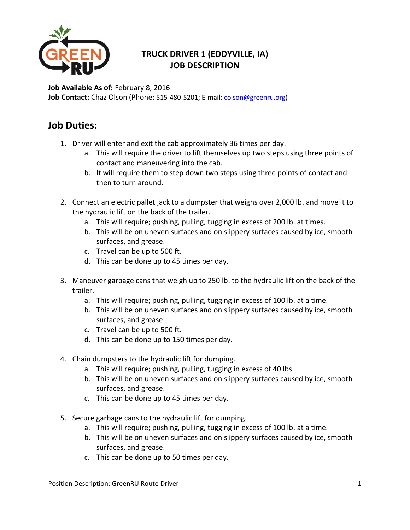

## **TRUCK DRIVER 1 (EDDYVILLE, IA) JOB DESCRIPTION**

**Job Available As of:** February 8, 2016 **Job Contact:** Chaz Olson (Phone: 515-480-5201; E-mail[: colson@greenru.org\)](mailto:colson@greenru.org)

## **Job Duties:**

- 1. Driver will enter and exit the cab approximately 36 times per day.
	- a. This will require the driver to lift themselves up two steps using three points of contact and maneuvering into the cab.
	- b. It will require them to step down two steps using three points of contact and then to turn around.
- 2. Connect an electric pallet jack to a dumpster that weighs over 2,000 lb. and move it to the hydraulic lift on the back of the trailer.
	- a. This will require; pushing, pulling, tugging in excess of 200 lb. at times.
	- b. This will be on uneven surfaces and on slippery surfaces caused by ice, smooth surfaces, and grease.
	- c. Travel can be up to 500 ft.
	- d. This can be done up to 45 times per day.
- 3. Maneuver garbage cans that weigh up to 250 lb. to the hydraulic lift on the back of the trailer.
	- a. This will require; pushing, pulling, tugging in excess of 100 lb. at a time.
	- b. This will be on uneven surfaces and on slippery surfaces caused by ice, smooth surfaces, and grease.
	- c. Travel can be up to 500 ft.
	- d. This can be done up to 150 times per day.
- 4. Chain dumpsters to the hydraulic lift for dumping.
	- a. This will require; pushing, pulling, tugging in excess of 40 lbs.
	- b. This will be on uneven surfaces and on slippery surfaces caused by ice, smooth surfaces, and grease.
	- c. This can be done up to 45 times per day.
- 5. Secure garbage cans to the hydraulic lift for dumping.
	- a. This will require; pushing, pulling, tugging in excess of 100 lb. at a time.
	- b. This will be on uneven surfaces and on slippery surfaces caused by ice, smooth surfaces, and grease.
	- c. This can be done up to 50 times per day.